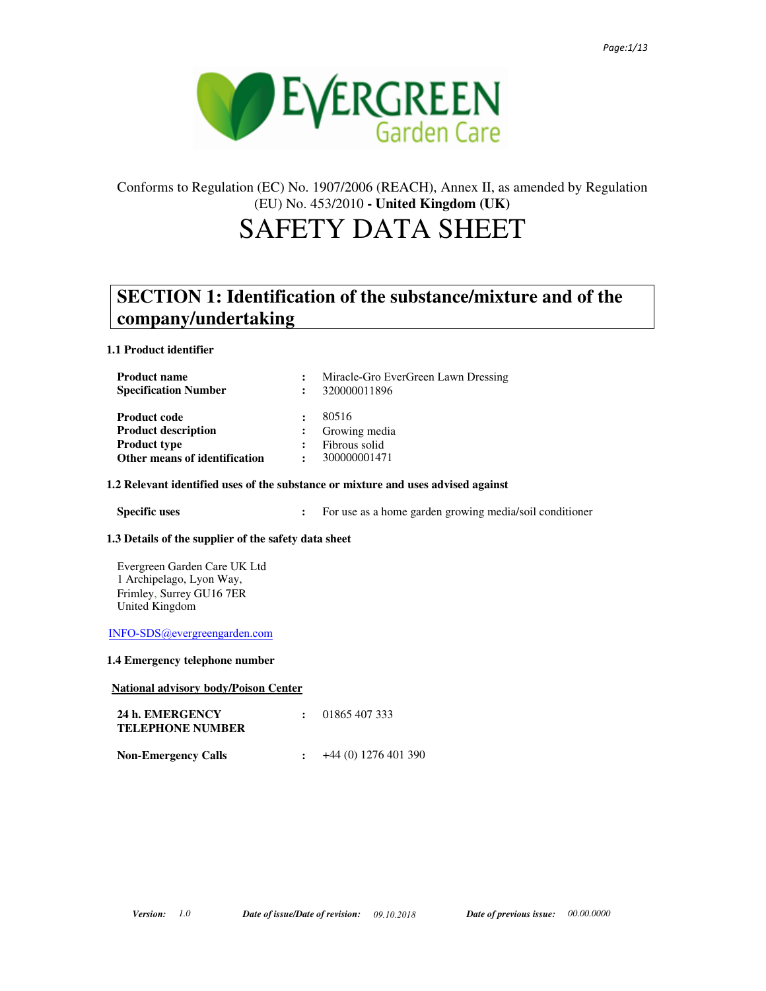

# Conforms to Regulation (EC) No. 1907/2006 (REACH), Annex II, as amended by Regulation (EU) No. 453/2010 **- United Kingdom (UK)**

# SAFETY DATA SHEET

# **SECTION 1: Identification of the substance/mixture and of the company/undertaking**

## **1.1 Product identifier**

|                | Miracle-Gro EverGreen Lawn Dressing |
|----------------|-------------------------------------|
|                | 320000011896                        |
|                | 80516                               |
|                | Growing media                       |
|                | Fibrous solid                       |
| $\ddot{\cdot}$ | 300000001471                        |
|                |                                     |

### **1.2 Relevant identified uses of the substance or mixture and uses advised against**

**Specific uses** : For use as a home garden growing media/soil conditioner

### **1.3 Details of the supplier of the safety data sheet**

Evergreen Garden Care UK Ltd 1 Archipelago, Lyon Way, Frimley, Surrey GU16 7ER United Kingdom

INFO-SDS@evergreengarden.com

### **1.4 Emergency telephone number**

|  | <b>National advisory body/Poison Center</b> |  |  |  |
|--|---------------------------------------------|--|--|--|
|--|---------------------------------------------|--|--|--|

| 24 h. EMERGENCY<br><b>TELEPHONE NUMBER</b> | 01865 407 333        |
|--------------------------------------------|----------------------|
| <b>Non-Emergency Calls</b>                 | +44 (0) 1276 401 390 |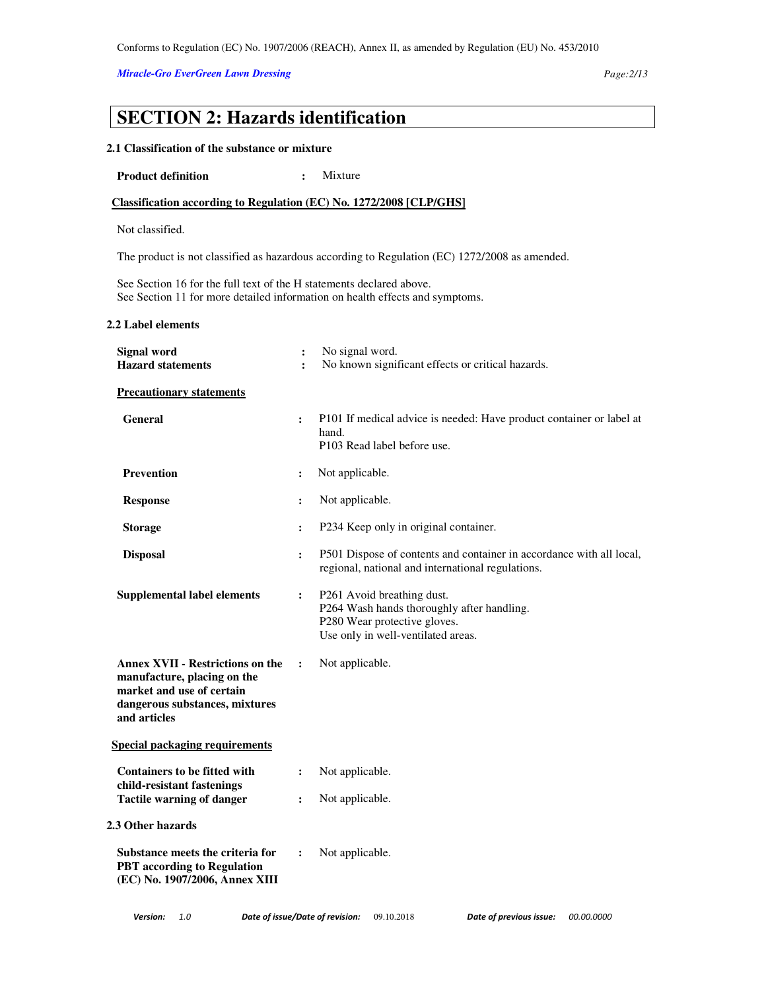## *Miracle-Gro EverGreen Lawn Dressing Page:2/13*

# **SECTION 2: Hazards identification**

### **2.1 Classification of the substance or mixture**

**Product definition : Mixture :** 

## **Classification according to Regulation (EC) No. 1272/2008 [CLP/GHS]**

Not classified.

The product is not classified as hazardous according to Regulation (EC) 1272/2008 as amended.

See Section 16 for the full text of the H statements declared above. See Section 11 for more detailed information on health effects and symptoms.

### **2.2 Label elements**

| <b>Signal word</b><br><b>Hazard statements</b>                                                                                                        | $\ddot{\cdot}$<br>$\ddot{\cdot}$ | No signal word.<br>No known significant effects or critical hazards.                                                                           |
|-------------------------------------------------------------------------------------------------------------------------------------------------------|----------------------------------|------------------------------------------------------------------------------------------------------------------------------------------------|
| <b>Precautionary statements</b>                                                                                                                       |                                  |                                                                                                                                                |
| <b>General</b>                                                                                                                                        | $\ddot{\cdot}$                   | P101 If medical advice is needed: Have product container or label at<br>hand.<br>P103 Read label before use.                                   |
| <b>Prevention</b>                                                                                                                                     | $\ddot{\cdot}$                   | Not applicable.                                                                                                                                |
| <b>Response</b>                                                                                                                                       | $\ddot{\cdot}$                   | Not applicable.                                                                                                                                |
| <b>Storage</b>                                                                                                                                        | $\ddot{\cdot}$                   | P234 Keep only in original container.                                                                                                          |
| <b>Disposal</b>                                                                                                                                       | $\ddot{\cdot}$                   | P501 Dispose of contents and container in accordance with all local,<br>regional, national and international regulations.                      |
| <b>Supplemental label elements</b>                                                                                                                    | $\ddot{\cdot}$                   | P261 Avoid breathing dust.<br>P264 Wash hands thoroughly after handling.<br>P280 Wear protective gloves.<br>Use only in well-ventilated areas. |
| <b>Annex XVII - Restrictions on the</b><br>manufacture, placing on the<br>market and use of certain<br>dangerous substances, mixtures<br>and articles | $\ddot{\cdot}$                   | Not applicable.                                                                                                                                |
| <b>Special packaging requirements</b>                                                                                                                 |                                  |                                                                                                                                                |
| <b>Containers to be fitted with</b><br>child-resistant fastenings                                                                                     | $\ddot{\cdot}$                   | Not applicable.                                                                                                                                |
| <b>Tactile warning of danger</b>                                                                                                                      | $\ddot{\cdot}$                   | Not applicable.                                                                                                                                |
| 2.3 Other hazards                                                                                                                                     |                                  |                                                                                                                                                |
| Substance meets the criteria for<br><b>PBT</b> according to Regulation<br>(EC) No. 1907/2006, Annex XIII                                              | $\ddot{\cdot}$                   | Not applicable.                                                                                                                                |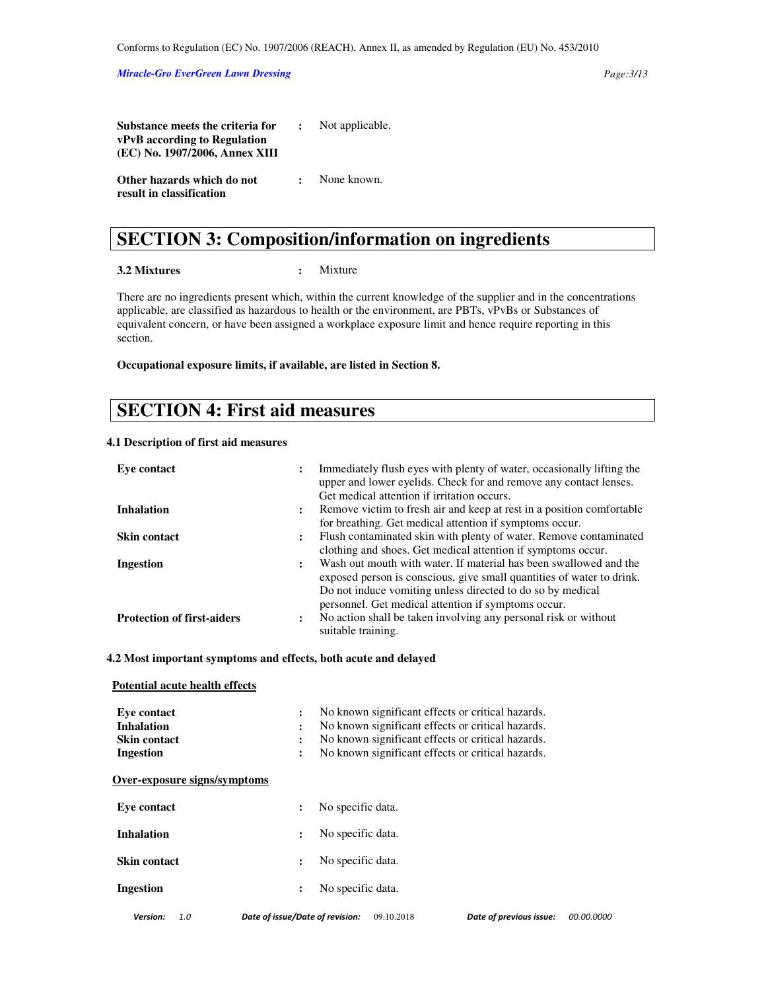| <b>Substance meets the criteria for :</b> Not applicable. |                          |
|-----------------------------------------------------------|--------------------------|
| vPvB according to Regulation                              |                          |
| (EC) No. 1907/2006, Annex XIII                            |                          |
| Other hazards which do not                                | $\therefore$ None known. |
| result in classification                                  |                          |

# **SECTION 3: Composition/information on ingredients**

### **3.2 Mixtures :** Mixture

There are no ingredients present which, within the current knowledge of the supplier and in the concentrations applicable, are classified as hazardous to health or the environment, are PBTs, vPvBs or Substances of equivalent concern, or have been assigned a workplace exposure limit and hence require reporting in this section.

**Occupational exposure limits, if available, are listed in Section 8.** 

# **SECTION 4: First aid measures**

### **4.1 Description of first aid measures**

 **Potential acute health effects** 

| Eve contact                       | :                    | Immediately flush eyes with plenty of water, occasionally lifting the<br>upper and lower eyelids. Check for and remove any contact lenses.<br>Get medical attention if irritation occurs.                                                                       |
|-----------------------------------|----------------------|-----------------------------------------------------------------------------------------------------------------------------------------------------------------------------------------------------------------------------------------------------------------|
| <b>Inhalation</b>                 | $\ddot{\phantom{a}}$ | Remove victim to fresh air and keep at rest in a position comfortable<br>for breathing. Get medical attention if symptoms occur.                                                                                                                                |
| <b>Skin contact</b>               | ፡                    | Flush contaminated skin with plenty of water. Remove contaminated<br>clothing and shoes. Get medical attention if symptoms occur.                                                                                                                               |
| Ingestion                         | :                    | Wash out mouth with water. If material has been swallowed and the<br>exposed person is conscious, give small quantities of water to drink.<br>Do not induce vomiting unless directed to do so by medical<br>personnel. Get medical attention if symptoms occur. |
| <b>Protection of first-aiders</b> | ٠                    | No action shall be taken involving any personal risk or without<br>suitable training.                                                                                                                                                                           |

**4.2 Most important symptoms and effects, both acute and delayed** 

| Eve contact<br><b>Inhalation</b><br>Skin contact<br><b>Ingestion</b> | No known significant effects or critical hazards.<br>$\ddot{\cdot}$<br>No known significant effects or critical hazards.<br>$\ddot{\cdot}$<br>No known significant effects or critical hazards.<br>$\ddot{\cdot}$<br>No known significant effects or critical hazards.<br>$\ddot{\cdot}$ |            |
|----------------------------------------------------------------------|------------------------------------------------------------------------------------------------------------------------------------------------------------------------------------------------------------------------------------------------------------------------------------------|------------|
| Over-exposure signs/symptoms                                         |                                                                                                                                                                                                                                                                                          |            |
| Eve contact                                                          | No specific data.<br>$\ddot{\cdot}$                                                                                                                                                                                                                                                      |            |
| <b>Inhalation</b>                                                    | No specific data.<br>$\ddot{\cdot}$                                                                                                                                                                                                                                                      |            |
| <b>Skin contact</b>                                                  | No specific data.<br>$\ddot{\phantom{a}}$                                                                                                                                                                                                                                                |            |
| <b>Ingestion</b>                                                     | No specific data.<br>$\ddot{\cdot}$                                                                                                                                                                                                                                                      |            |
| <b>Version:</b><br>1.0                                               | Date of issue/Date of revision:<br>Date of previous issue:<br>09.10.2018                                                                                                                                                                                                                 | 00.00.0000 |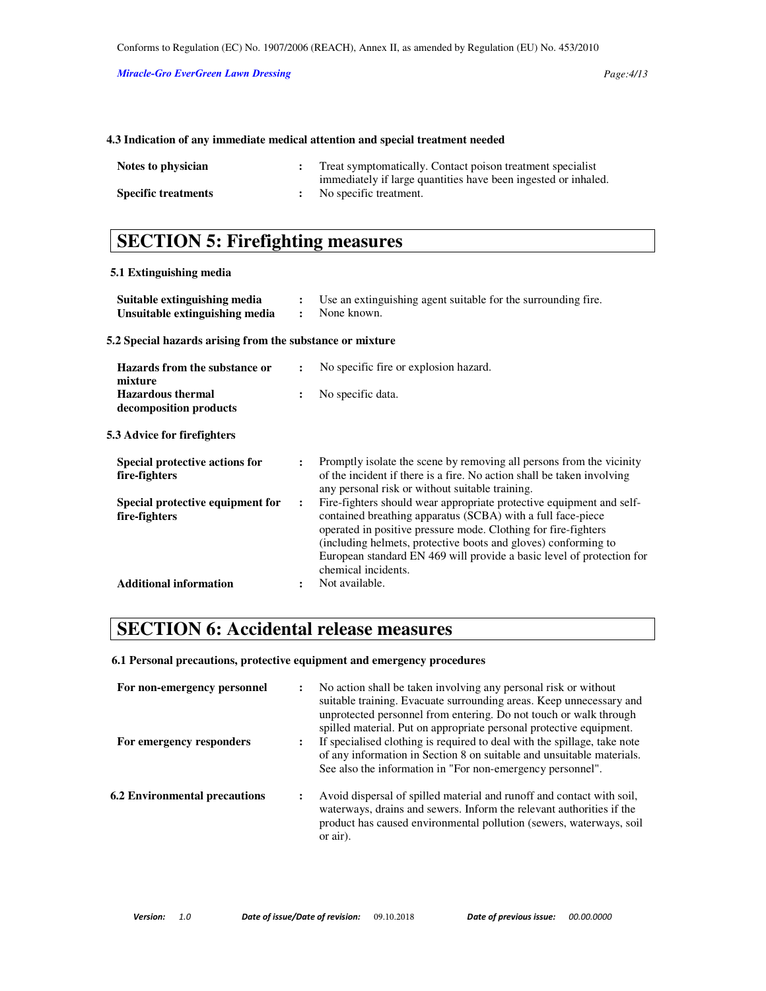### **4.3 Indication of any immediate medical attention and special treatment needed**

| Notes to physician         | Treat symptomatically. Contact poison treatment specialist     |
|----------------------------|----------------------------------------------------------------|
|                            | immediately if large quantities have been ingested or inhaled. |
| <b>Specific treatments</b> | No specific treatment.                                         |

# **SECTION 5: Firefighting measures**

### **5.1 Extinguishing media**

| Suitable extinguishing media<br>Unsuitable extinguishing media | $\ddot{\cdot}$<br>$\ddot{\cdot}$ | Use an extinguishing agent suitable for the surrounding fire.<br>None known.                                                                                                                                                                                                                                                                                            |
|----------------------------------------------------------------|----------------------------------|-------------------------------------------------------------------------------------------------------------------------------------------------------------------------------------------------------------------------------------------------------------------------------------------------------------------------------------------------------------------------|
| 5.2 Special hazards arising from the substance or mixture      |                                  |                                                                                                                                                                                                                                                                                                                                                                         |
| Hazards from the substance or<br>mixture                       | $\ddot{\cdot}$                   | No specific fire or explosion hazard.                                                                                                                                                                                                                                                                                                                                   |
| <b>Hazardous thermal</b><br>decomposition products             |                                  | No specific data.                                                                                                                                                                                                                                                                                                                                                       |
| 5.3 Advice for firefighters                                    |                                  |                                                                                                                                                                                                                                                                                                                                                                         |
| Special protective actions for<br>fire-fighters                | $\ddot{\phantom{a}}$             | Promptly isolate the scene by removing all persons from the vicinity<br>of the incident if there is a fire. No action shall be taken involving<br>any personal risk or without suitable training.                                                                                                                                                                       |
| Special protective equipment for<br>fire-fighters              | $\ddot{\phantom{a}}$             | Fire-fighters should wear appropriate protective equipment and self-<br>contained breathing apparatus (SCBA) with a full face-piece<br>operated in positive pressure mode. Clothing for fire-fighters<br>(including helmets, protective boots and gloves) conforming to<br>European standard EN 469 will provide a basic level of protection for<br>chemical incidents. |
| <b>Additional information</b>                                  |                                  | Not available.                                                                                                                                                                                                                                                                                                                                                          |

# **SECTION 6: Accidental release measures**

**6.1 Personal precautions, protective equipment and emergency procedures** 

| For non-emergency personnel<br>For emergency responders | :<br>፡ | No action shall be taken involving any personal risk or without<br>suitable training. Evacuate surrounding areas. Keep unnecessary and<br>unprotected personnel from entering. Do not touch or walk through<br>spilled material. Put on appropriate personal protective equipment.<br>If specialised clothing is required to deal with the spillage, take note<br>of any information in Section 8 on suitable and unsuitable materials. |
|---------------------------------------------------------|--------|-----------------------------------------------------------------------------------------------------------------------------------------------------------------------------------------------------------------------------------------------------------------------------------------------------------------------------------------------------------------------------------------------------------------------------------------|
| <b>6.2 Environmental precautions</b>                    | :      | See also the information in "For non-emergency personnel".<br>Avoid dispersal of spilled material and runoff and contact with soil,<br>waterways, drains and sewers. Inform the relevant authorities if the<br>product has caused environmental pollution (sewers, waterways, soil<br>or air).                                                                                                                                          |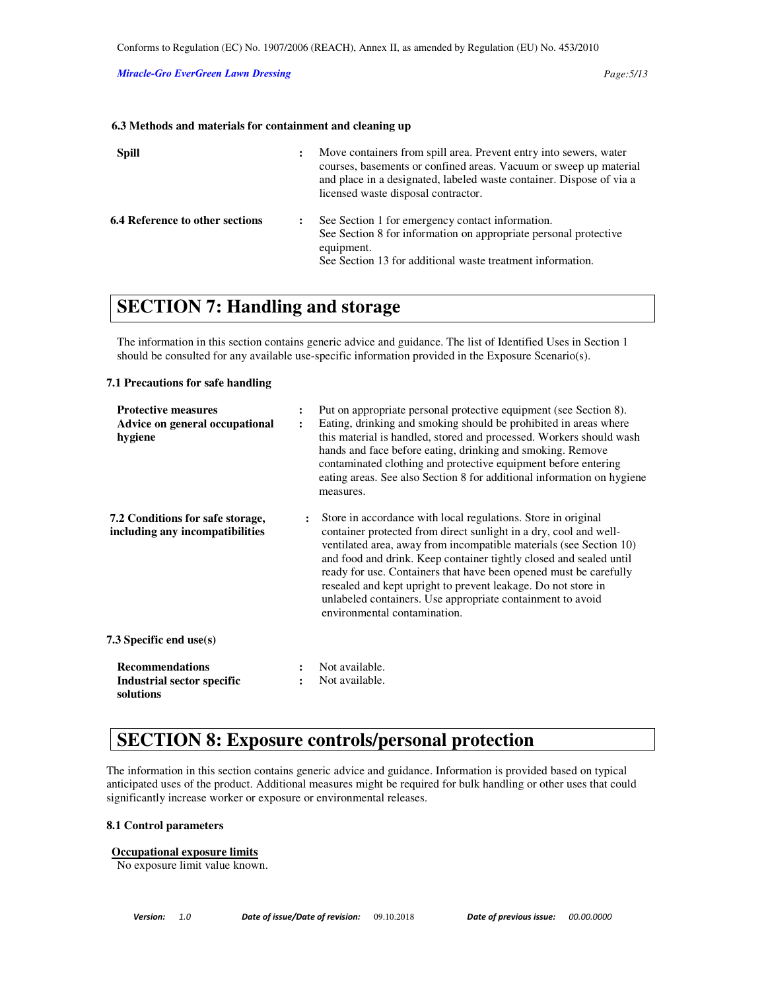#### **6.3 Methods and materials for containment and cleaning up**

| <b>Spill</b>                           | $\ddot{\cdot}$ | Move containers from spill area. Prevent entry into sewers, water<br>courses, basements or confined areas. Vacuum or sweep up material<br>and place in a designated, labeled waste container. Dispose of via a<br>licensed waste disposal contractor. |
|----------------------------------------|----------------|-------------------------------------------------------------------------------------------------------------------------------------------------------------------------------------------------------------------------------------------------------|
| <b>6.4 Reference to other sections</b> |                | See Section 1 for emergency contact information.<br>See Section 8 for information on appropriate personal protective<br>equipment.<br>See Section 13 for additional waste treatment information.                                                      |

# **SECTION 7: Handling and storage**

The information in this section contains generic advice and guidance. The list of Identified Uses in Section 1 should be consulted for any available use-specific information provided in the Exposure Scenario(s).

#### **7.1 Precautions for safe handling**

| <b>Protective measures</b><br>Advice on general occupational<br>hygiene |                | Put on appropriate personal protective equipment (see Section 8).<br>Eating, drinking and smoking should be prohibited in areas where<br>this material is handled, stored and processed. Workers should wash<br>hands and face before eating, drinking and smoking. Remove<br>contaminated clothing and protective equipment before entering<br>eating areas. See also Section 8 for additional information on hygiene<br>measures.                                                                                |
|-------------------------------------------------------------------------|----------------|--------------------------------------------------------------------------------------------------------------------------------------------------------------------------------------------------------------------------------------------------------------------------------------------------------------------------------------------------------------------------------------------------------------------------------------------------------------------------------------------------------------------|
| 7.2 Conditions for safe storage,<br>including any incompatibilities     | $\ddot{\cdot}$ | Store in accordance with local regulations. Store in original<br>container protected from direct sunlight in a dry, cool and well-<br>ventilated area, away from incompatible materials (see Section 10)<br>and food and drink. Keep container tightly closed and sealed until<br>ready for use. Containers that have been opened must be carefully<br>resealed and kept upright to prevent leakage. Do not store in<br>unlabeled containers. Use appropriate containment to avoid<br>environmental contamination. |
| 7.3 Specific end use(s)                                                 |                |                                                                                                                                                                                                                                                                                                                                                                                                                                                                                                                    |
| <b>Recommendations</b><br><b>Industrial sector specific</b>             |                | Not available.<br>Not available.                                                                                                                                                                                                                                                                                                                                                                                                                                                                                   |
| solutions                                                               |                |                                                                                                                                                                                                                                                                                                                                                                                                                                                                                                                    |

# **SECTION 8: Exposure controls/personal protection**

The information in this section contains generic advice and guidance. Information is provided based on typical anticipated uses of the product. Additional measures might be required for bulk handling or other uses that could significantly increase worker or exposure or environmental releases.

### **8.1 Control parameters**

### **Occupational exposure limits**

No exposure limit value known.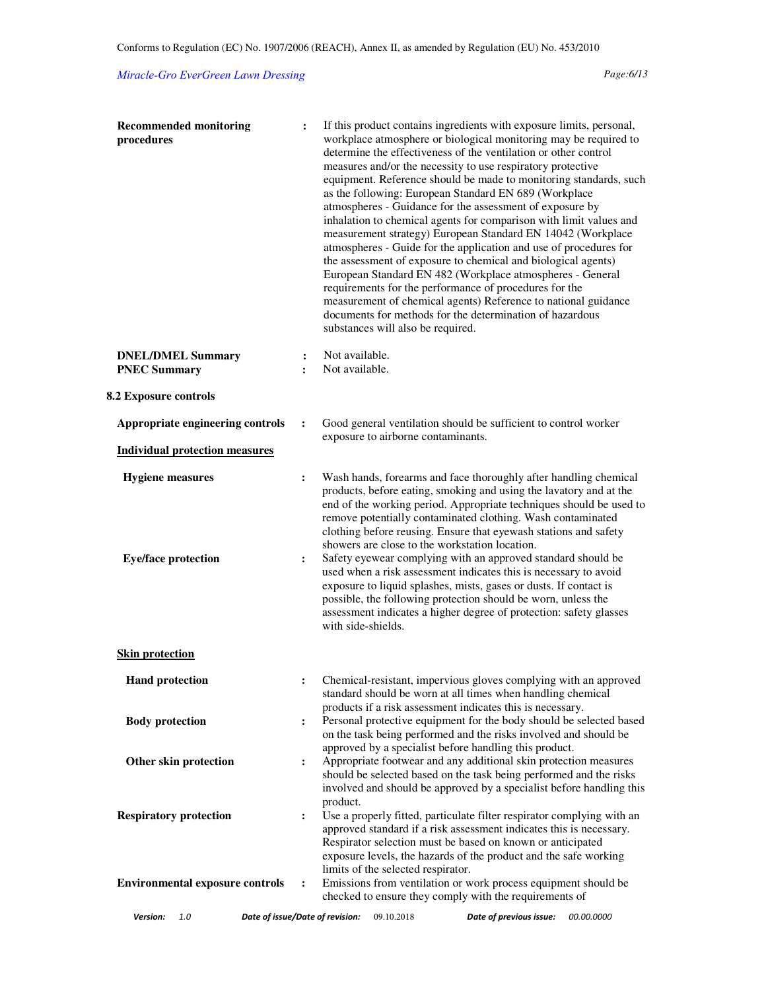## *Miracle-Gro EverGreen Lawn Dressing Page:6/13*

| <b>Recommended monitoring</b><br>procedures           | $\ddot{\cdot}$                   | If this product contains ingredients with exposure limits, personal,<br>workplace atmosphere or biological monitoring may be required to<br>determine the effectiveness of the ventilation or other control<br>measures and/or the necessity to use respiratory protective<br>equipment. Reference should be made to monitoring standards, such<br>as the following: European Standard EN 689 (Workplace<br>atmospheres - Guidance for the assessment of exposure by<br>inhalation to chemical agents for comparison with limit values and<br>measurement strategy) European Standard EN 14042 (Workplace<br>atmospheres - Guide for the application and use of procedures for<br>the assessment of exposure to chemical and biological agents)<br>European Standard EN 482 (Workplace atmospheres - General<br>requirements for the performance of procedures for the<br>measurement of chemical agents) Reference to national guidance<br>documents for methods for the determination of hazardous<br>substances will also be required. |
|-------------------------------------------------------|----------------------------------|-------------------------------------------------------------------------------------------------------------------------------------------------------------------------------------------------------------------------------------------------------------------------------------------------------------------------------------------------------------------------------------------------------------------------------------------------------------------------------------------------------------------------------------------------------------------------------------------------------------------------------------------------------------------------------------------------------------------------------------------------------------------------------------------------------------------------------------------------------------------------------------------------------------------------------------------------------------------------------------------------------------------------------------------|
| <b>DNEL/DMEL Summary</b><br><b>PNEC Summary</b>       | $\ddot{\cdot}$<br>$\ddot{\cdot}$ | Not available.<br>Not available.                                                                                                                                                                                                                                                                                                                                                                                                                                                                                                                                                                                                                                                                                                                                                                                                                                                                                                                                                                                                          |
| 8.2 Exposure controls                                 |                                  |                                                                                                                                                                                                                                                                                                                                                                                                                                                                                                                                                                                                                                                                                                                                                                                                                                                                                                                                                                                                                                           |
| Appropriate engineering controls                      | $\ddot{\cdot}$                   | Good general ventilation should be sufficient to control worker<br>exposure to airborne contaminants.                                                                                                                                                                                                                                                                                                                                                                                                                                                                                                                                                                                                                                                                                                                                                                                                                                                                                                                                     |
| <b>Individual protection measures</b>                 |                                  |                                                                                                                                                                                                                                                                                                                                                                                                                                                                                                                                                                                                                                                                                                                                                                                                                                                                                                                                                                                                                                           |
| <b>Hygiene</b> measures<br><b>Eye/face protection</b> | $\ddot{\cdot}$<br>$\ddot{\cdot}$ | Wash hands, forearms and face thoroughly after handling chemical<br>products, before eating, smoking and using the lavatory and at the<br>end of the working period. Appropriate techniques should be used to<br>remove potentially contaminated clothing. Wash contaminated<br>clothing before reusing. Ensure that eyewash stations and safety<br>showers are close to the workstation location.<br>Safety eyewear complying with an approved standard should be<br>used when a risk assessment indicates this is necessary to avoid<br>exposure to liquid splashes, mists, gases or dusts. If contact is<br>possible, the following protection should be worn, unless the<br>assessment indicates a higher degree of protection: safety glasses<br>with side-shields.                                                                                                                                                                                                                                                                  |
| <b>Skin protection</b>                                |                                  |                                                                                                                                                                                                                                                                                                                                                                                                                                                                                                                                                                                                                                                                                                                                                                                                                                                                                                                                                                                                                                           |
| <b>Hand protection</b>                                | :                                | Chemical-resistant, impervious gloves complying with an approved<br>standard should be worn at all times when handling chemical                                                                                                                                                                                                                                                                                                                                                                                                                                                                                                                                                                                                                                                                                                                                                                                                                                                                                                           |
| <b>Body protection</b>                                | :                                | products if a risk assessment indicates this is necessary.<br>Personal protective equipment for the body should be selected based<br>on the task being performed and the risks involved and should be<br>approved by a specialist before handling this product.                                                                                                                                                                                                                                                                                                                                                                                                                                                                                                                                                                                                                                                                                                                                                                           |
| Other skin protection                                 | $\ddot{\cdot}$                   | Appropriate footwear and any additional skin protection measures<br>should be selected based on the task being performed and the risks<br>involved and should be approved by a specialist before handling this<br>product.                                                                                                                                                                                                                                                                                                                                                                                                                                                                                                                                                                                                                                                                                                                                                                                                                |
| <b>Respiratory protection</b>                         | $\ddot{\cdot}$                   | Use a properly fitted, particulate filter respirator complying with an<br>approved standard if a risk assessment indicates this is necessary.<br>Respirator selection must be based on known or anticipated<br>exposure levels, the hazards of the product and the safe working<br>limits of the selected respirator.                                                                                                                                                                                                                                                                                                                                                                                                                                                                                                                                                                                                                                                                                                                     |
| <b>Environmental exposure controls</b>                | :                                | Emissions from ventilation or work process equipment should be<br>checked to ensure they comply with the requirements of                                                                                                                                                                                                                                                                                                                                                                                                                                                                                                                                                                                                                                                                                                                                                                                                                                                                                                                  |
| Date of issue/Date of revision:<br>Version:<br>1.0    |                                  | Date of previous issue:<br>09.10.2018<br>00.00.0000                                                                                                                                                                                                                                                                                                                                                                                                                                                                                                                                                                                                                                                                                                                                                                                                                                                                                                                                                                                       |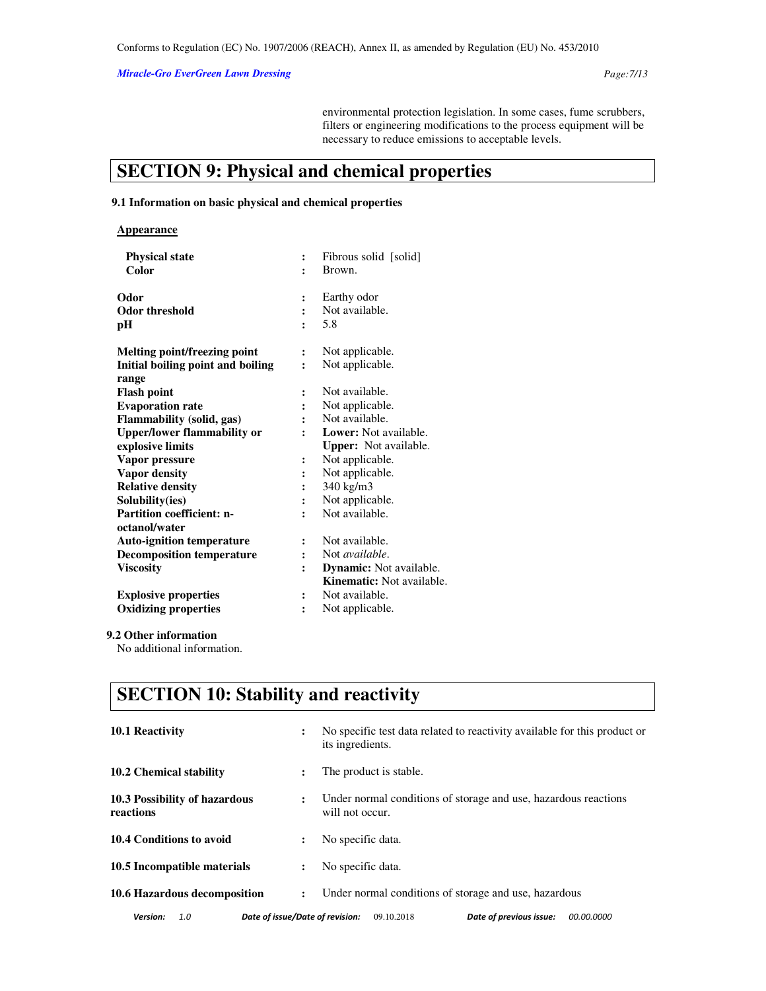*Miracle-Gro EverGreen Lawn Dressing Page:7/13* 

environmental protection legislation. In some cases, fume scrubbers, filters or engineering modifications to the process equipment will be necessary to reduce emissions to acceptable levels.

# **SECTION 9: Physical and chemical properties**

## **9.1 Information on basic physical and chemical properties**

| <b>Appearance</b> |
|-------------------|
|-------------------|

| <b>Physical state</b>                      | $\ddot{\cdot}$ | Fibrous solid [solid]            |
|--------------------------------------------|----------------|----------------------------------|
| Color                                      |                | Brown.                           |
| Odor                                       | $\ddot{\cdot}$ | Earthy odor                      |
| <b>Odor threshold</b>                      |                | Not available.                   |
| pН                                         |                | 5.8                              |
| Melting point/freezing point               | $\ddot{\cdot}$ | Not applicable.                  |
| Initial boiling point and boiling<br>range | $\ddot{\cdot}$ | Not applicable.                  |
| Flash point                                |                | Not available.                   |
| <b>Evaporation rate</b>                    |                | Not applicable.                  |
| Flammability (solid, gas)                  |                | Not available.                   |
| <b>Upper/lower flammability or</b>         |                | <b>Lower:</b> Not available.     |
| explosive limits                           |                | <b>Upper:</b> Not available.     |
| Vapor pressure                             | ፡              | Not applicable.                  |
| <b>Vapor density</b>                       |                | Not applicable.                  |
| <b>Relative density</b>                    | $\ddot{\cdot}$ | 340 kg/m3                        |
| Solubility(ies)                            | $\ddot{\cdot}$ | Not applicable.                  |
| <b>Partition coefficient: n-</b>           |                | Not available.                   |
| octanol/water                              |                |                                  |
| <b>Auto-ignition temperature</b>           | $\ddot{\cdot}$ | Not available.                   |
| <b>Decomposition temperature</b>           | $\ddot{\cdot}$ | Not <i>available</i> .           |
| <b>Viscosity</b>                           | $\ddot{\cdot}$ | <b>Dynamic:</b> Not available.   |
|                                            |                | <b>Kinematic:</b> Not available. |
| <b>Explosive properties</b>                | $\ddot{\cdot}$ | Not available.                   |
| <b>Oxidizing properties</b>                |                | Not applicable.                  |
|                                            |                |                                  |

## **9.2 Other information**

No additional information.

# **SECTION 10: Stability and reactivity**

| <b>10.1 Reactivity</b>                             | ፡                    | No specific test data related to reactivity available for this product or<br>its ingredients. |
|----------------------------------------------------|----------------------|-----------------------------------------------------------------------------------------------|
| 10.2 Chemical stability                            | ÷                    | The product is stable.                                                                        |
| 10.3 Possibility of hazardous<br>reactions         | $\ddot{\phantom{a}}$ | Under normal conditions of storage and use, hazardous reactions<br>will not occur.            |
| 10.4 Conditions to avoid                           | ፡                    | No specific data.                                                                             |
| 10.5 Incompatible materials                        | $\ddot{\phantom{a}}$ | No specific data.                                                                             |
| 10.6 Hazardous decomposition                       | $\ddot{\phantom{a}}$ | Under normal conditions of storage and use, hazardous                                         |
| Date of issue/Date of revision:<br>Version:<br>1.0 |                      | Date of previous issue:<br>09.10.2018<br><i>00.00.0000</i>                                    |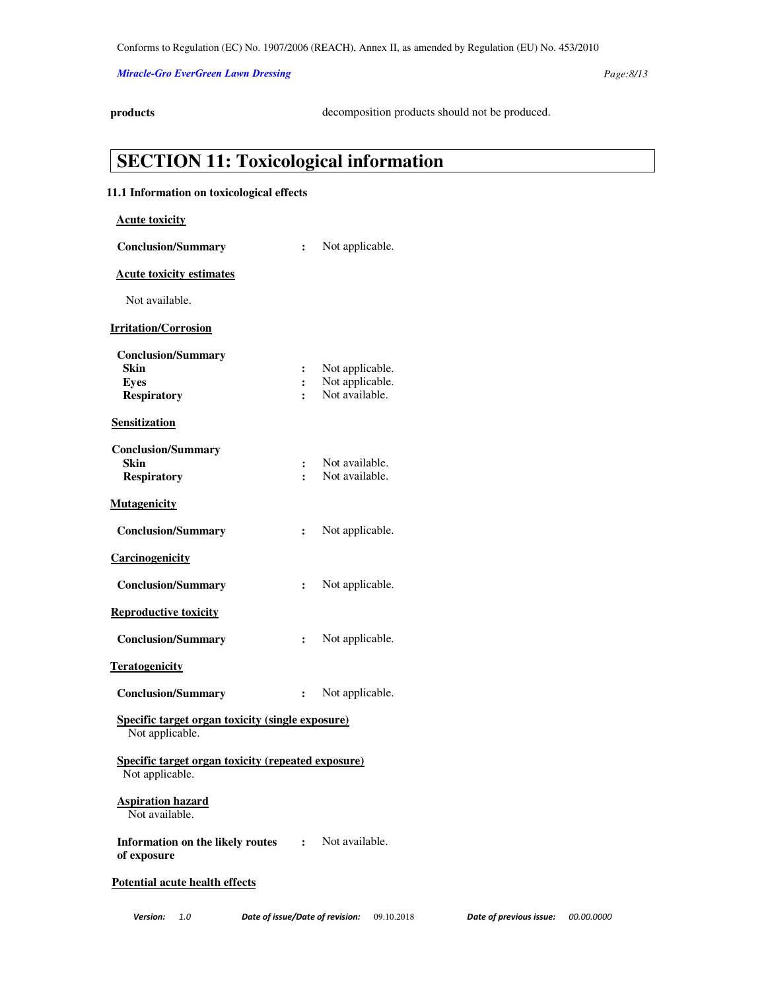## *Miracle-Gro EverGreen Lawn Dressing Page:8/13*

**products** decomposition products should not be produced.

| 11.1 Information on toxicological effects                             |                      |                 |  |  |
|-----------------------------------------------------------------------|----------------------|-----------------|--|--|
| <b>Acute toxicity</b>                                                 |                      |                 |  |  |
| <b>Conclusion/Summary</b>                                             | $\ddot{\cdot}$       | Not applicable. |  |  |
| <b>Acute toxicity estimates</b>                                       |                      |                 |  |  |
| Not available.                                                        |                      |                 |  |  |
| <b>Irritation/Corrosion</b>                                           |                      |                 |  |  |
| <b>Conclusion/Summary</b>                                             |                      |                 |  |  |
| Skin                                                                  | $\ddot{\cdot}$       | Not applicable. |  |  |
| <b>Eyes</b>                                                           | $\ddot{\cdot}$       | Not applicable. |  |  |
| <b>Respiratory</b>                                                    | $\ddot{\cdot}$       | Not available.  |  |  |
| <b>Sensitization</b>                                                  |                      |                 |  |  |
| <b>Conclusion/Summary</b>                                             |                      |                 |  |  |
| Skin                                                                  | $\ddot{\cdot}$       | Not available.  |  |  |
| <b>Respiratory</b>                                                    | $\ddot{\phantom{a}}$ | Not available.  |  |  |
| <b>Mutagenicity</b>                                                   |                      |                 |  |  |
| <b>Conclusion/Summary</b>                                             | $\ddot{\cdot}$       | Not applicable. |  |  |
| Carcinogenicity                                                       |                      |                 |  |  |
| <b>Conclusion/Summary</b>                                             | $\ddot{\cdot}$       | Not applicable. |  |  |
| <b>Reproductive toxicity</b>                                          |                      |                 |  |  |
| <b>Conclusion/Summary</b>                                             | $\ddot{\cdot}$       | Not applicable. |  |  |
| <b>Teratogenicity</b>                                                 |                      |                 |  |  |
| <b>Conclusion/Summary</b>                                             | :                    | Not applicable. |  |  |
| Specific target organ toxicity (single exposure)<br>Not applicable.   |                      |                 |  |  |
| Specific target organ toxicity (repeated exposure)<br>Not applicable. |                      |                 |  |  |
| <b>Aspiration hazard</b><br>Not available.                            |                      |                 |  |  |
| <b>Information on the likely routes :</b><br>of exposure              |                      | Not available.  |  |  |
| <b>Potential acute health effects</b>                                 |                      |                 |  |  |

**SECTION 11: Toxicological information**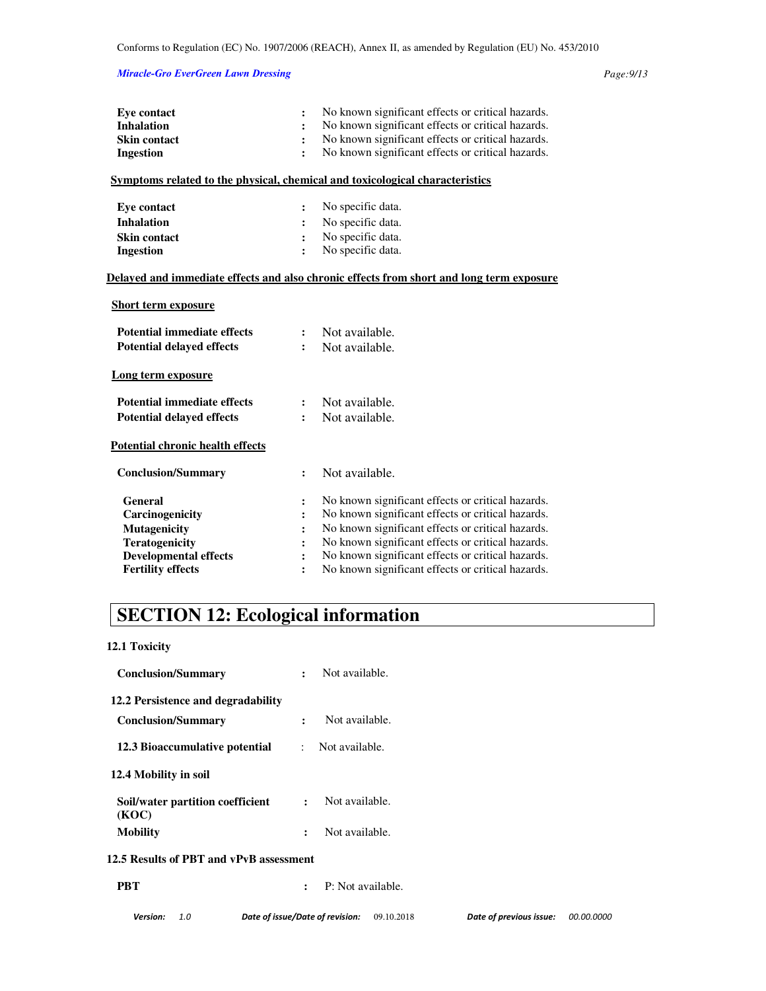## *Miracle-Gro EverGreen Lawn Dressing Page:9/13*

| <b>Eye contact</b>                      | $\ddot{\cdot}$       | No known significant effects or critical hazards.                                        |
|-----------------------------------------|----------------------|------------------------------------------------------------------------------------------|
| <b>Inhalation</b>                       |                      | No known significant effects or critical hazards.                                        |
| <b>Skin contact</b>                     | $\ddot{\cdot}$       | No known significant effects or critical hazards.                                        |
| <b>Ingestion</b>                        | $\ddot{\cdot}$       | No known significant effects or critical hazards.                                        |
|                                         |                      | Symptoms related to the physical, chemical and toxicological characteristics             |
| <b>Eye contact</b>                      | $\ddot{\cdot}$       | No specific data.                                                                        |
| <b>Inhalation</b>                       | $\ddot{\cdot}$       | No specific data.                                                                        |
| <b>Skin contact</b>                     | $\ddot{\cdot}$       | No specific data.                                                                        |
| <b>Ingestion</b>                        | $\ddot{\cdot}$       | No specific data.                                                                        |
|                                         |                      | Delayed and immediate effects and also chronic effects from short and long term exposure |
| <b>Short term exposure</b>              |                      |                                                                                          |
| <b>Potential immediate effects</b>      | $\ddot{\cdot}$       | Not available.                                                                           |
| <b>Potential delayed effects</b>        | $\ddot{\cdot}$       | Not available.                                                                           |
| Long term exposure                      |                      |                                                                                          |
| <b>Potential immediate effects</b>      | :                    | Not available.                                                                           |
| <b>Potential delayed effects</b>        | $\ddot{\cdot}$       | Not available.                                                                           |
| <b>Potential chronic health effects</b> |                      |                                                                                          |
| <b>Conclusion/Summary</b>               | $\ddot{\cdot}$       | Not available.                                                                           |
| General                                 | :                    | No known significant effects or critical hazards.                                        |
| Carcinogenicity                         | $\ddot{\phantom{a}}$ | No known significant effects or critical hazards.                                        |
| <b>Mutagenicity</b>                     |                      | No known significant effects or critical hazards.                                        |
| <b>Teratogenicity</b>                   | $\ddot{\cdot}$       | No known significant effects or critical hazards.                                        |
| <b>Developmental effects</b>            | $\ddot{\cdot}$       | No known significant effects or critical hazards.                                        |
| <b>Fertility effects</b>                | $\ddot{\cdot}$       | No known significant effects or critical hazards.                                        |

# **SECTION 12: Ecological information**

**12.1 Toxicity** 

| <b>Conclusion/Summary</b>                 | Not available.<br>$\ddot{\cdot}$              |                         |            |
|-------------------------------------------|-----------------------------------------------|-------------------------|------------|
| 12.2 Persistence and degradability        |                                               |                         |            |
| <b>Conclusion/Summary</b>                 | Not available.<br>$\ddot{\cdot}$              |                         |            |
| 12.3 Bioaccumulative potential            | Not available.<br>$\mathcal{L}$               |                         |            |
| 12.4 Mobility in soil                     |                                               |                         |            |
| Soil/water partition coefficient<br>(KOC) | Not available.<br>$\ddot{\phantom{a}}$        |                         |            |
| <b>Mobility</b>                           | Not available.<br>$\ddot{\phantom{a}}$        |                         |            |
| 12.5 Results of PBT and vPvB assessment   |                                               |                         |            |
| <b>PBT</b>                                | P: Not available.<br>$\ddot{\cdot}$           |                         |            |
| Version:<br>1.0                           | Date of issue/Date of revision:<br>09.10.2018 | Date of previous issue: | 00.00.0000 |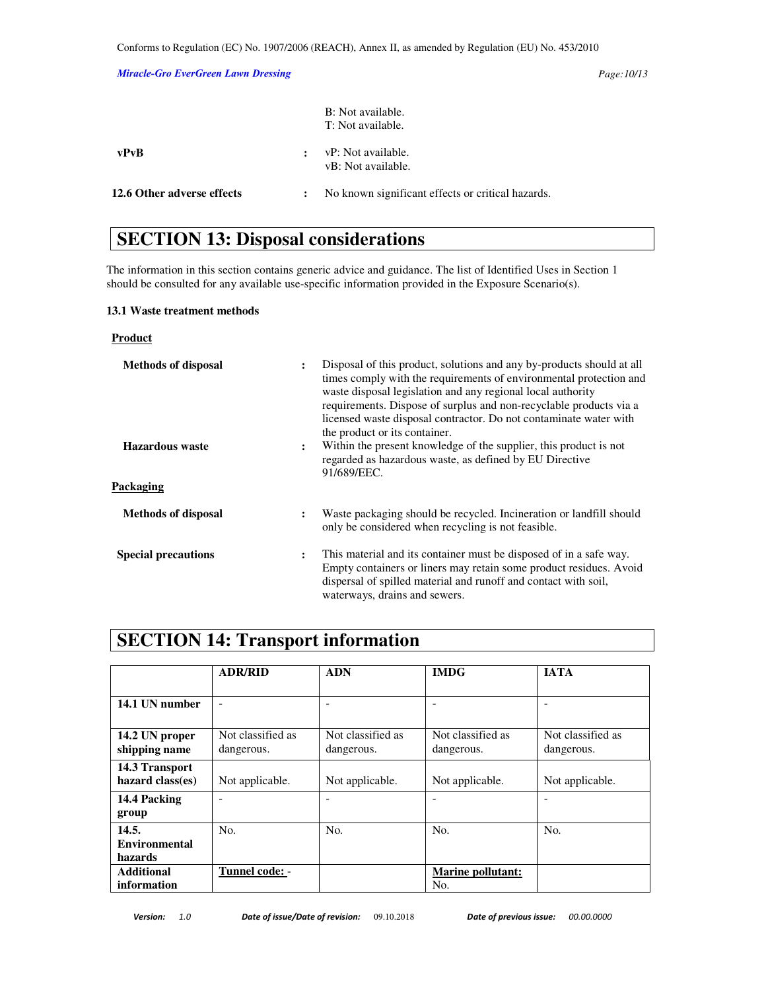## *Miracle-Gro EverGreen Lawn Dressing Page:10/13*

| 12.6 Other adverse effects | $\ddot{\phantom{a}}$ | No known significant effects or critical hazards. |
|----------------------------|----------------------|---------------------------------------------------|
| vPvB                       |                      | vP: Not available.<br>vB: Not available.          |
|                            |                      | B: Not available.<br>T: Not available.            |

# **SECTION 13: Disposal considerations**

The information in this section contains generic advice and guidance. The list of Identified Uses in Section 1 should be consulted for any available use-specific information provided in the Exposure Scenario(s).

## **13.1 Waste treatment methods**

# **Product**

| <b>Methods of disposal</b> |                      | Disposal of this product, solutions and any by-products should at all<br>times comply with the requirements of environmental protection and<br>waste disposal legislation and any regional local authority<br>requirements. Dispose of surplus and non-recyclable products via a<br>licensed waste disposal contractor. Do not contaminate water with<br>the product or its container. |
|----------------------------|----------------------|----------------------------------------------------------------------------------------------------------------------------------------------------------------------------------------------------------------------------------------------------------------------------------------------------------------------------------------------------------------------------------------|
| Hazardous waste            | $\ddot{\phantom{a}}$ | Within the present knowledge of the supplier, this product is not<br>regarded as hazardous waste, as defined by EU Directive<br>91/689/EEC.                                                                                                                                                                                                                                            |
| Packaging                  |                      |                                                                                                                                                                                                                                                                                                                                                                                        |
| <b>Methods of disposal</b> | $\ddot{\cdot}$       | Waste packaging should be recycled. Incineration or landfill should<br>only be considered when recycling is not feasible.                                                                                                                                                                                                                                                              |
| <b>Special precautions</b> | $\ddot{\cdot}$       | This material and its container must be disposed of in a safe way.<br>Empty containers or liners may retain some product residues. Avoid<br>dispersal of spilled material and runoff and contact with soil,<br>waterways, drains and sewers.                                                                                                                                           |

# **SECTION 14: Transport information**

|                      | <b>ADR/RID</b>           | <b>ADN</b>        | <b>IMDG</b>              | <b>JATA</b>       |
|----------------------|--------------------------|-------------------|--------------------------|-------------------|
|                      |                          |                   |                          |                   |
|                      |                          |                   |                          |                   |
| 14.1 UN number       | $\overline{\phantom{a}}$ |                   | $\overline{\phantom{a}}$ |                   |
|                      |                          |                   |                          |                   |
| 14.2 UN proper       | Not classified as        | Not classified as | Not classified as        | Not classified as |
| shipping name        | dangerous.               | dangerous.        | dangerous.               | dangerous.        |
| 14.3 Transport       |                          |                   |                          |                   |
| hazard class(es)     | Not applicable.          | Not applicable.   | Not applicable.          | Not applicable.   |
| 14.4 Packing         | -                        | ۰                 |                          |                   |
| group                |                          |                   |                          |                   |
| 14.5.                | No.                      | No.               | No.                      | No.               |
| <b>Environmental</b> |                          |                   |                          |                   |
| hazards              |                          |                   |                          |                   |
| <b>Additional</b>    | Tunnel code: -           |                   | <b>Marine pollutant:</b> |                   |
| information          |                          |                   | No.                      |                   |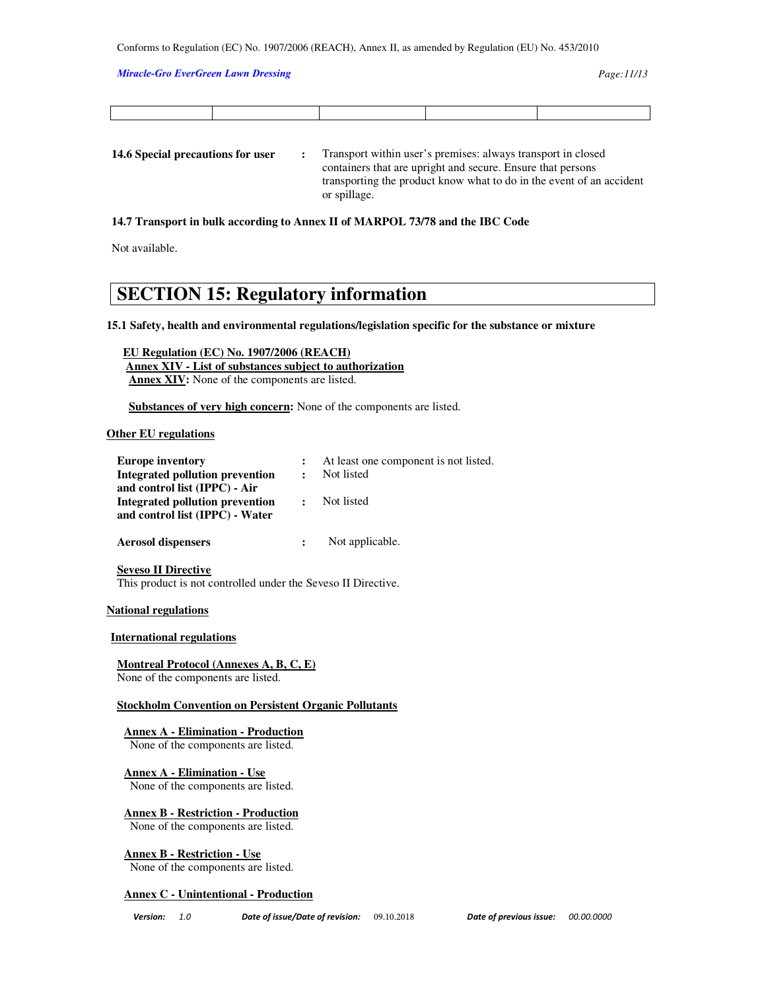#### *Miracle-Gro EverGreen Lawn Dressing Page:11/13*

**14.6 Special precautions for user :** Transport within user's premises: always transport in closed containers that are upright and secure. Ensure that persons transporting the product know what to do in the event of an accident or spillage.

### **14.7 Transport in bulk according to Annex II of MARPOL 73/78 and the IBC Code**

Not available.

# **SECTION 15: Regulatory information**

**15.1 Safety, health and environmental regulations/legislation specific for the substance or mixture** 

 **EU Regulation (EC) No. 1907/2006 (REACH) Annex XIV - List of substances subject to authorization Annex XIV:** None of the components are listed.

 **Substances of very high concern:** None of the components are listed.

### **Other EU regulations**

| <b>Europe inventory</b>         |              | At least one component is not listed. |
|---------------------------------|--------------|---------------------------------------|
| Integrated pollution prevention | $\bullet$    | Not listed                            |
| and control list (IPPC) - Air   |              |                                       |
| Integrated pollution prevention | $\mathbf{r}$ | Not listed                            |
| and control list (IPPC) - Water |              |                                       |
|                                 |              |                                       |
| <b>Aerosol dispensers</b>       |              | Not applicable.                       |

**Seveso II Directive** This product is not controlled under the Seveso II Directive.

#### **National regulations**

#### **International regulations**

**Montreal Protocol (Annexes A, B, C, E)**  None of the components are listed.

**Stockholm Convention on Persistent Organic Pollutants** 

**Annex A - Elimination - Production**

None of the components are listed.

**Annex A - Elimination - Use** None of the components are listed.

**Annex B - Restriction - Production**

None of the components are listed.

**Annex B - Restriction - Use** None of the components are listed.

## **Annex C - Unintentional - Production**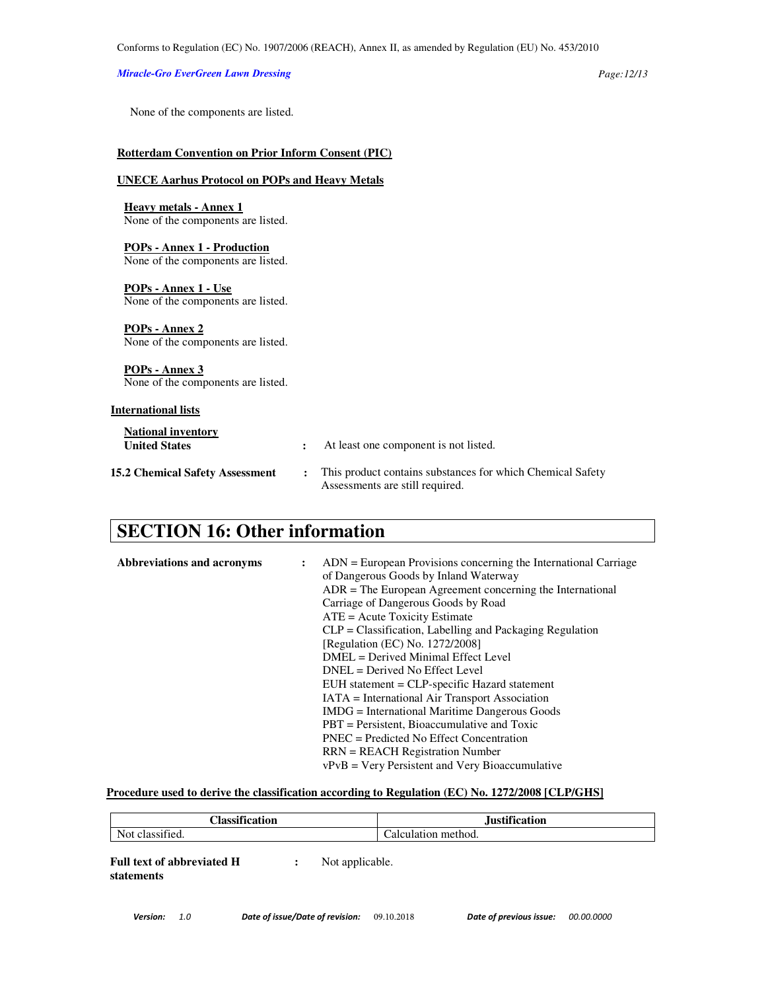### *Miracle-Gro EverGreen Lawn Dressing Page:12/13*

None of the components are listed.

### **Rotterdam Convention on Prior Inform Consent (PIC)**

## **UNECE Aarhus Protocol on POPs and Heavy Metals**

**Heavy metals - Annex 1** None of the components are listed.

### **POPs - Annex 1 - Production** None of the components are listed.

**POPs - Annex 1 - Use** None of the components are listed.

**POPs - Annex 2** None of the components are listed.

**POPs - Annex 3** None of the components are listed.

## **International lists**

| <b>National inventory</b><br><b>United States</b> |                      | At least one component is not listed.                                                         |
|---------------------------------------------------|----------------------|-----------------------------------------------------------------------------------------------|
| <b>15.2 Chemical Safety Assessment</b>            | $\ddot{\phantom{a}}$ | This product contains substances for which Chemical Safety<br>Assessments are still required. |

# **SECTION 16: Other information**

| Abbreviations and acronyms | $ADN = European Provisions concerning the International Carriage$<br>of Dangerous Goods by Inland Waterway<br>$ADR = The European Agreement concerning the International$<br>Carriage of Dangerous Goods by Road<br>$ATE = Acute Toxicity Estimate$<br>$CLP = Classification$ , Labelling and Packaging Regulation<br>[Regulation (EC) No. 1272/2008]<br>DMEL = Derived Minimal Effect Level<br>$DNEL = Derived No Effect Level$<br>EUH statement = CLP-specific Hazard statement<br>IATA = International Air Transport Association<br><b>IMDG</b> = International Maritime Dangerous Goods<br>$PBT =$ Persistent, Bioaccumulative and Toxic<br>$PNEC = Predicted No Effect Concentration$ |
|----------------------------|--------------------------------------------------------------------------------------------------------------------------------------------------------------------------------------------------------------------------------------------------------------------------------------------------------------------------------------------------------------------------------------------------------------------------------------------------------------------------------------------------------------------------------------------------------------------------------------------------------------------------------------------------------------------------------------------|
|                            | $RRN = REACH$ Registration Number<br>$vPvB = V$ ery Persistent and Very Bioaccumulative                                                                                                                                                                                                                                                                                                                                                                                                                                                                                                                                                                                                    |

### **Procedure used to derive the classification according to Regulation (EC) No. 1272/2008 [CLP/GHS]**

| $\cdot$ $\alpha$<br>m<br>lassification      | <b>Justification</b> |
|---------------------------------------------|----------------------|
| $\cdot$ $\sim$<br>$Not \,$<br>t classified. | Calculation method.  |

**Full text of abbreviated H statements :** Not applicable.